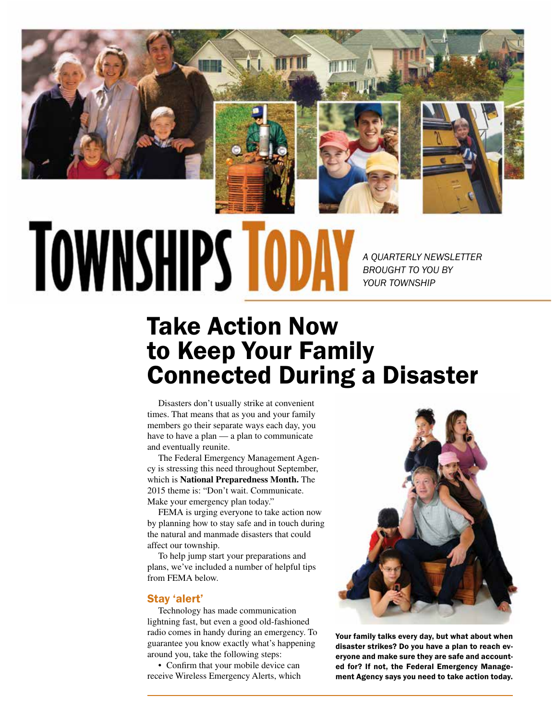

# **TOWNSHIPS TODI**

*A QUARTERLY NEWSLETTER BROUGHT TO YOU BY YOUR TOWNSHIP*

# Take Action Now to Keep Your Family Connected During a Disaster

Disasters don't usually strike at convenient times. That means that as you and your family members go their separate ways each day, you have to have a plan — a plan to communicate and eventually reunite.

The Federal Emergency Management Agency is stressing this need throughout September, which is **National Preparedness Month.** The 2015 theme is: "Don't wait. Communicate. Make your emergency plan today."

FEMA is urging everyone to take action now by planning how to stay safe and in touch during the natural and manmade disasters that could affect our township.

To help jump start your preparations and plans, we've included a number of helpful tips from FEMA below.

## Stay 'alert'

Technology has made communication lightning fast, but even a good old-fashioned radio comes in handy during an emergency. To guarantee you know exactly what's happening around you, take the following steps:

• Confirm that your mobile device can receive Wireless Emergency Alerts, which



Your family talks every day, but what about when disaster strikes? Do you have a plan to reach everyone and make sure they are safe and accounted for? If not, the Federal Emergency Management Agency says you need to take action today.